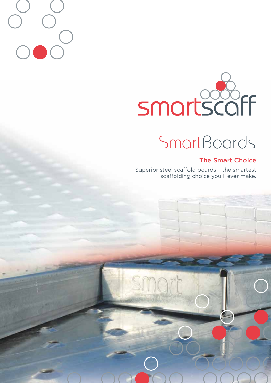



# SmartBoards

#### The Smart Choice

Superior steel scaffold boards – the smartest scaffolding choice you'll ever make.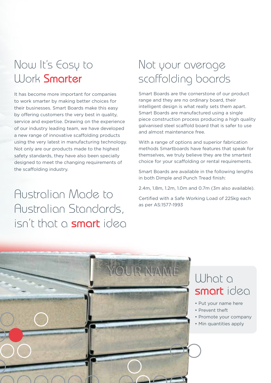#### Now It's Easy to Work Smarter

It has become more important for companies to work smarter by making better choices for their businesses. Smart Boards make this easy by offering customers the very best in quality, service and expertise. Drawing on the experience of our industry leading team, we have developed a new range of innovative scaffolding products using the very latest in manufacturing technology. Not only are our products made to the highest safety standards, they have also been specially designed to meet the changing requirements of the scaffolding industry.

Australian Made to Australian Standards, isn't that a smart idea

# Not your average scaffolding boards

Smart Boards are the cornerstone of our product range and they are no ordinary board, their intelligent design is what really sets them apart. Smart Boards are manufactured using a single piece construction process producing a high quality galvanised steel scaffold board that is safer to use and almost maintenance free.

With a range of options and superior fabrication methods Smartboards have features that speak for themselves, we truly believe they are the smartest choice for your scaffolding or rental requirements.

Smart Boards are available in the following lengths in both Dimple and Punch Tread finish:

2.4m, 1.8m, 1.2m, 1.0m and 0.7m (3m also available).

Certified with a Safe Working Load of 225kg each as per AS:1577-1993



#### Uhat a smart idea

- Put your name here
- Prevent theft
- Promote your company
- Min quantities apply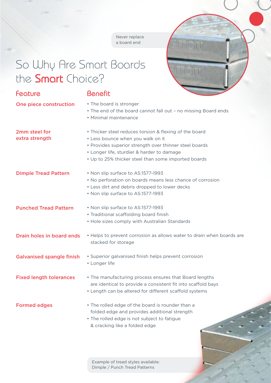Never replace a board end

**INTO Y** 

mari

### So Why Are Smart Boards the Smart Choice?

| <b>Feature</b>                   | <b>Benefit</b>                                                                                                                                                                                                                                             |
|----------------------------------|------------------------------------------------------------------------------------------------------------------------------------------------------------------------------------------------------------------------------------------------------------|
| One piece construction           | • The board is stronger<br>• The end of the board cannot fall out - no missing Board ends<br>• Minimal maintenance                                                                                                                                         |
| 2mm steel for<br>extra strength  | • Thicker steel reduces torsion & flexing of the board<br>• Less bounce when you walk on it<br>• Provides superior strength over thinner steel boards<br>• Longer life, sturdier & harder to damage<br>• Up to 25% thicker steel than some imported boards |
| <b>Dimple Tread Pattern</b>      | • Non slip surface to AS:1577-1993<br>• No perforation on boards means less chance of corrosion<br>• Less dirt and debris dropped to lower decks<br>• Non slip surface to AS:1577-1993                                                                     |
| <b>Punched Tread Pattern</b>     | • Non slip surface to AS:1577-1993<br>• Traditional scaffolding board finish<br>• Hole sizes comply with Australian Standards                                                                                                                              |
| Drain holes in board ends        | • Helps to prevent corrosion as allows water to drain when boards are<br>stacked for storage                                                                                                                                                               |
| <b>Galvanised spangle finish</b> | • Superior galvanised finish helps prevent corrosion<br>• Longer life                                                                                                                                                                                      |
| <b>Fixed length tolerances</b>   | • The manufacturing process ensures that Board lengths<br>are identical to provide a consistent fit into scaffold bays<br>• Length can be altered for different scaffold systems                                                                           |
| <b>Formed edges</b>              | • The rolled edge of the board is rounder than a<br>folded edge and provides additional strength<br>• The rolled edge is not subject to fatigue<br>& cracking like a folded edge                                                                           |

Example of tread styles available: Dimple / Punch Tread Patterns